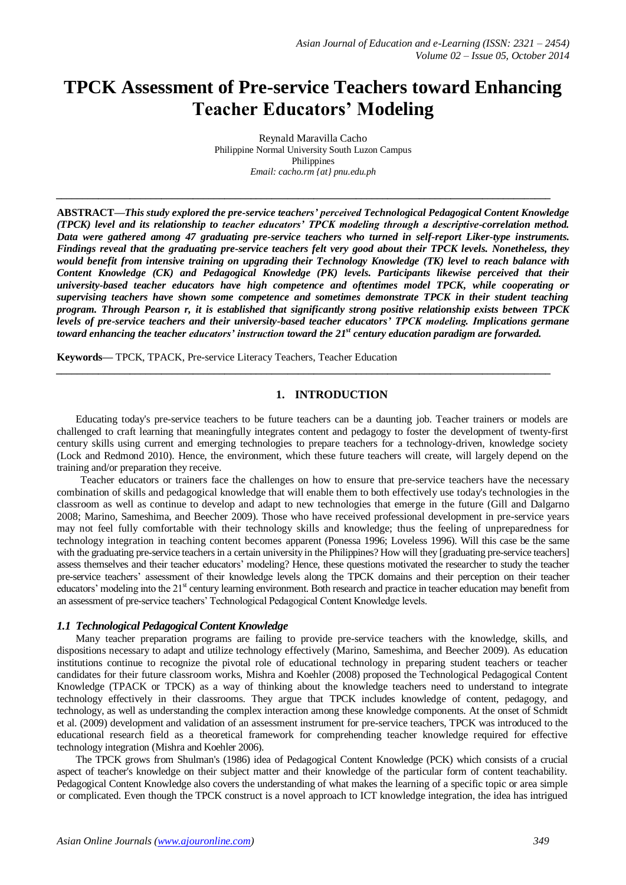# **TPCK Assessment of Pre-service Teachers toward Enhancing Teacher Educators' Modeling**

Reynald Maravilla Cacho Philippine Normal University South Luzon Campus Philippines *Email: cacho.rm {at} pnu.edu.ph*

*\_\_\_\_\_\_\_\_\_\_\_\_\_\_\_\_\_\_\_\_\_\_\_\_\_\_\_\_\_\_\_\_\_\_\_\_\_\_\_\_\_\_\_\_\_\_\_\_\_\_\_\_\_\_\_\_\_\_\_\_\_\_\_\_\_\_\_\_\_\_\_\_\_\_\_\_\_\_\_\_\_\_\_\_\_\_\_\_\_\_\_\_\_\_*

**ABSTRACT***—This study explored the pre-service teachers' perceived Technological Pedagogical Content Knowledge (TPCK) level and its relationship to teacher educators' TPCK modeling through a descriptive-correlation method. Data were gathered among 47 graduating pre-service teachers who turned in self-report Liker-type instruments. Findings reveal that the graduating pre-service teachers felt very good about their TPCK levels. Nonetheless, they would benefit from intensive training on upgrading their Technology Knowledge (TK) level to reach balance with Content Knowledge (CK) and Pedagogical Knowledge (PK) levels. Participants likewise perceived that their university-based teacher educators have high competence and oftentimes model TPCK, while cooperating or supervising teachers have shown some competence and sometimes demonstrate TPCK in their student teaching program. Through Pearson r, it is established that significantly strong positive relationship exists between TPCK levels of pre-service teachers and their university-based teacher educators' TPCK modeling. Implications germane toward enhancing the teacher educators' instruction toward the 21st century education paradigm are forwarded.*

**Keywords***—* TPCK, TPACK, Pre-service Literacy Teachers, Teacher Education

#### **1. INTRODUCTION**

Educating today's pre-service teachers to be future teachers can be a daunting job. Teacher trainers or models are challenged to craft learning that meaningfully integrates content and pedagogy to foster the development of twenty-first century skills using current and emerging technologies to prepare teachers for a technology-driven, knowledge society (Lock and Redmond 2010). Hence, the environment, which these future teachers will create, will largely depend on the training and/or preparation they receive.

*\_\_\_\_\_\_\_\_\_\_\_\_\_\_\_\_\_\_\_\_\_\_\_\_\_\_\_\_\_\_\_\_\_\_\_\_\_\_\_\_\_\_\_\_\_\_\_\_\_\_\_\_\_\_\_\_\_\_\_\_\_\_\_\_\_\_\_\_\_\_\_\_\_\_\_\_\_\_\_\_\_\_\_\_\_\_\_\_\_\_\_\_\_\_*

Teacher educators or trainers face the challenges on how to ensure that pre-service teachers have the necessary combination of skills and pedagogical knowledge that will enable them to both effectively use today's technologies in the classroom as well as continue to develop and adapt to new technologies that emerge in the future (Gill and Dalgarno 2008; Marino, Sameshima, and Beecher 2009). Those who have received professional development in pre-service years may not feel fully comfortable with their technology skills and knowledge; thus the feeling of unpreparedness for technology integration in teaching content becomes apparent (Ponessa 1996; Loveless 1996). Will this case be the same with the graduating pre-service teachers in a certain university in the Philippines? How will they [graduating pre-service teachers] assess themselves and their teacher educators' modeling? Hence, these questions motivated the researcher to study the teacher pre-service teachers' assessment of their knowledge levels along the TPCK domains and their perception on their teacher educators' modeling into the 21<sup>st</sup> century learning environment. Both research and practice in teacher education may benefit from an assessment of pre-service teachers' Technological Pedagogical Content Knowledge levels.

#### *1.1 Technological Pedagogical Content Knowledge*

Many teacher preparation programs are failing to provide pre-service teachers with the knowledge, skills, and dispositions necessary to adapt and utilize technology effectively (Marino, Sameshima, and Beecher 2009). As education institutions continue to recognize the pivotal role of educational technology in preparing student teachers or teacher candidates for their future classroom works, Mishra and Koehler (2008) proposed the Technological Pedagogical Content Knowledge (TPACK or TPCK) as a way of thinking about the knowledge teachers need to understand to integrate technology effectively in their classrooms. They argue that TPCK includes knowledge of content, pedagogy, and technology, as well as understanding the complex interaction among these knowledge components. At the onset of Schmidt et al. (2009) development and validation of an assessment instrument for pre-service teachers, TPCK was introduced to the educational research field as a theoretical framework for comprehending teacher knowledge required for effective technology integration (Mishra and Koehler 2006).

The TPCK grows from Shulman's (1986) idea of Pedagogical Content Knowledge (PCK) which consists of a crucial aspect of teacher's knowledge on their subject matter and their knowledge of the particular form of content teachability. Pedagogical Content Knowledge also covers the understanding of what makes the learning of a specific topic or area simple or complicated. Even though the TPCK construct is a novel approach to ICT knowledge integration, the idea has intrigued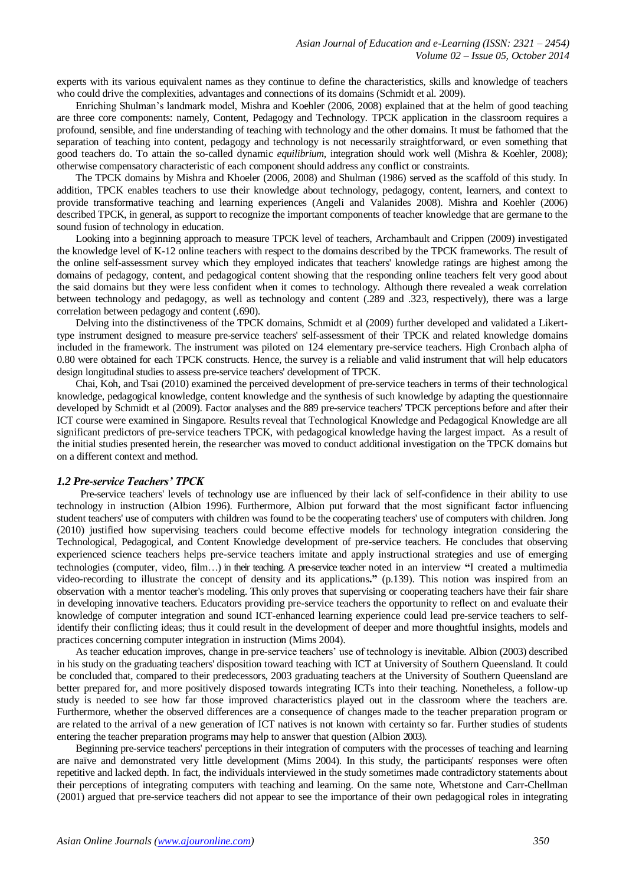experts with its various equivalent names as they continue to define the characteristics, skills and knowledge of teachers who could drive the complexities, advantages and connections of its domains (Schmidt et al. 2009).

Enriching Shulman's landmark model, Mishra and Koehler (2006, 2008) explained that at the helm of good teaching are three core components: namely, Content, Pedagogy and Technology. TPCK application in the classroom requires a profound, sensible, and fine understanding of teaching with technology and the other domains. It must be fathomed that the separation of teaching into content, pedagogy and technology is not necessarily straightforward, or even something that good teachers do. To attain the so-called dynamic *equilibrium*, integration should work well (Mishra & Koehler, 2008); otherwise compensatory characteristic of each component should address any conflict or constraints.

The TPCK domains by Mishra and Khoeler (2006, 2008) and Shulman (1986) served as the scaffold of this study. In addition, TPCK enables teachers to use their knowledge about technology, pedagogy, content, learners, and context to provide transformative teaching and learning experiences (Angeli and Valanides 2008). Mishra and Koehler (2006) described TPCK, in general, as support to recognize the important components of teacher knowledge that are germane to the sound fusion of technology in education.

Looking into a beginning approach to measure TPCK level of teachers, Archambault and Crippen (2009) investigated the knowledge level of K-12 online teachers with respect to the domains described by the TPCK frameworks. The result of the online self-assessment survey which they employed indicates that teachers' knowledge ratings are highest among the domains of pedagogy, content, and pedagogical content showing that the responding online teachers felt very good about the said domains but they were less confident when it comes to technology. Although there revealed a weak correlation between technology and pedagogy, as well as technology and content (.289 and .323, respectively), there was a large correlation between pedagogy and content (.690).

Delving into the distinctiveness of the TPCK domains, Schmidt et al (2009) further developed and validated a Likerttype instrument designed to measure pre-service teachers' self-assessment of their TPCK and related knowledge domains included in the framework. The instrument was piloted on 124 elementary pre-service teachers. High Cronbach alpha of 0.80 were obtained for each TPCK constructs. Hence, the survey is a reliable and valid instrument that will help educators design longitudinal studies to assess pre-service teachers' development of TPCK.

Chai, Koh, and Tsai (2010) examined the perceived development of pre-service teachers in terms of their technological knowledge, pedagogical knowledge, content knowledge and the synthesis of such knowledge by adapting the questionnaire developed by Schmidt et al (2009). Factor analyses and the 889 pre-service teachers' TPCK perceptions before and after their ICT course were examined in Singapore. Results reveal that Technological Knowledge and Pedagogical Knowledge are all significant predictors of pre-service teachers TPCK, with pedagogical knowledge having the largest impact. As a result of the initial studies presented herein, the researcher was moved to conduct additional investigation on the TPCK domains but on a different context and method.

#### *1.2 Pre-service Teachers' TPCK*

Pre-service teachers' levels of technology use are influenced by their lack of self-confidence in their ability to use technology in instruction (Albion 1996). Furthermore, Albion put forward that the most significant factor influencing student teachers' use of computers with children was found to be the cooperating teachers' use of computers with children. Jong (2010) justified how supervising teachers could become effective models for technology integration considering the Technological, Pedagogical, and Content Knowledge development of pre-service teachers. He concludes that observing experienced science teachers helps pre-service teachers imitate and apply instructional strategies and use of emerging technologies (computer, video, film...) in their teaching. A pre-service teacher noted in an interview "I created a multimedia video-recording to illustrate the concept of density and its applications**."** (p.139). This notion was inspired from an observation with a mentor teacher's modeling. This only proves that supervising or cooperating teachers have their fair share in developing innovative teachers. Educators providing pre-service teachers the opportunity to reflect on and evaluate their knowledge of computer integration and sound ICT-enhanced learning experience could lead pre-service teachers to selfidentify their conflicting ideas; thus it could result in the development of deeper and more thoughtful insights, models and practices concerning computer integration in instruction (Mims 2004).

As teacher education improves, change in pre-service teachers' use of technology is inevitable. Albion (2003) described in his study on the graduating teachers' disposition toward teaching with ICT at University of Southern Queensland. It could be concluded that, compared to their predecessors, 2003 graduating teachers at the University of Southern Queensland are better prepared for, and more positively disposed towards integrating ICTs into their teaching. Nonetheless, a follow-up study is needed to see how far those improved characteristics played out in the classroom where the teachers are. Furthermore, whether the observed differences are a consequence of changes made to the teacher preparation program or are related to the arrival of a new generation of ICT natives is not known with certainty so far. Further studies of students entering the teacher preparation programs may help to answer that question (Albion 2003).

Beginning pre-service teachers' perceptions in their integration of computers with the processes of teaching and learning are naïve and demonstrated very little development (Mims 2004). In this study, the participants' responses were often repetitive and lacked depth. In fact, the individuals interviewed in the study sometimes made contradictory statements about their perceptions of integrating computers with teaching and learning. On the same note, Whetstone and Carr-Chellman (2001) argued that pre-service teachers did not appear to see the importance of their own pedagogical roles in integrating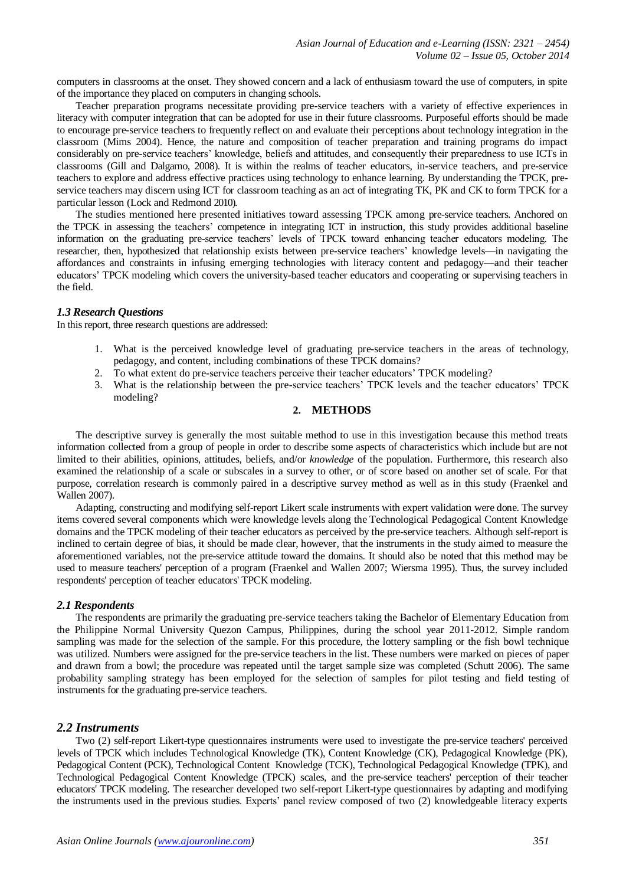computers in classrooms at the onset. They showed concern and a lack of enthusiasm toward the use of computers, in spite of the importance they placed on computers in changing schools.

Teacher preparation programs necessitate providing pre-service teachers with a variety of effective experiences in literacy with computer integration that can be adopted for use in their future classrooms. Purposeful efforts should be made to encourage pre-service teachers to frequently reflect on and evaluate their perceptions about technology integration in the classroom (Mims 2004). Hence, the nature and composition of teacher preparation and training programs do impact considerably on pre-service teachers' knowledge, beliefs and attitudes, and consequently their preparedness to use ICTs in classrooms (Gill and Dalgarno, 2008). It is within the realms of teacher educators, in-service teachers, and pre-service teachers to explore and address effective practices using technology to enhance learning. By understanding the TPCK, preservice teachers may discern using ICT for classroom teaching as an act of integrating TK, PK and CK to form TPCK for a particular lesson (Lock and Redmond 2010).

The studies mentioned here presented initiatives toward assessing TPCK among pre-service teachers. Anchored on the TPCK in assessing the teachers' competence in integrating ICT in instruction, this study provides additional baseline information on the graduating pre-service teachers' levels of TPCK toward enhancing teacher educators modeling. The researcher, then, hypothesized that relationship exists between pre-service teachers' knowledge levels—in navigating the affordances and constraints in infusing emerging technologies with literacy content and pedagogy—and their teacher educators' TPCK modeling which covers the university-based teacher educators and cooperating or supervising teachers in the field.

#### *1.3 Research Questions*

In this report, three research questions are addressed:

- 1. What is the perceived knowledge level of graduating pre-service teachers in the areas of technology, pedagogy, and content, including combinations of these TPCK domains?
- 2. To what extent do pre-service teachers perceive their teacher educators' TPCK modeling?
- 3. What is the relationship between the pre-service teachers' TPCK levels and the teacher educators' TPCK modeling?

#### **2. METHODS**

The descriptive survey is generally the most suitable method to use in this investigation because this method treats information collected from a group of people in order to describe some aspects of characteristics which include but are not limited to their abilities, opinions, attitudes, beliefs, and/or *knowledge* of the population. Furthermore, this research also examined the relationship of a scale or subscales in a survey to other, or of score based on another set of scale. For that purpose, correlation research is commonly paired in a descriptive survey method as well as in this study (Fraenkel and Wallen 2007).

Adapting, constructing and modifying self-report Likert scale instruments with expert validation were done. The survey items covered several components which were knowledge levels along the Technological Pedagogical Content Knowledge domains and the TPCK modeling of their teacher educators as perceived by the pre-service teachers. Although self-report is inclined to certain degree of bias, it should be made clear, however, that the instruments in the study aimed to measure the aforementioned variables, not the pre-service attitude toward the domains. It should also be noted that this method may be used to measure teachers' perception of a program (Fraenkel and Wallen 2007; Wiersma 1995). Thus, the survey included respondents' perception of teacher educators' TPCK modeling.

#### *2.1 Respondents*

The respondents are primarily the graduating pre-service teachers taking the Bachelor of Elementary Education from the Philippine Normal University Quezon Campus, Philippines, during the school year 2011-2012. Simple random sampling was made for the selection of the sample. For this procedure, the lottery sampling or the fish bowl technique was utilized. Numbers were assigned for the pre-service teachers in the list. These numbers were marked on pieces of paper and drawn from a bowl; the procedure was repeated until the target sample size was completed (Schutt 2006). The same probability sampling strategy has been employed for the selection of samples for pilot testing and field testing of instruments for the graduating pre-service teachers.

#### *2.2 Instruments*

Two (2) self-report Likert-type questionnaires instruments were used to investigate the pre-service teachers' perceived levels of TPCK which includes Technological Knowledge (TK), Content Knowledge (CK), Pedagogical Knowledge (PK), Pedagogical Content (PCK), Technological Content Knowledge (TCK), Technological Pedagogical Knowledge (TPK), and Technological Pedagogical Content Knowledge (TPCK) scales, and the pre-service teachers' perception of their teacher educators' TPCK modeling. The researcher developed two self-report Likert-type questionnaires by adapting and modifying the instruments used in the previous studies. Experts' panel review composed of two (2) knowledgeable literacy experts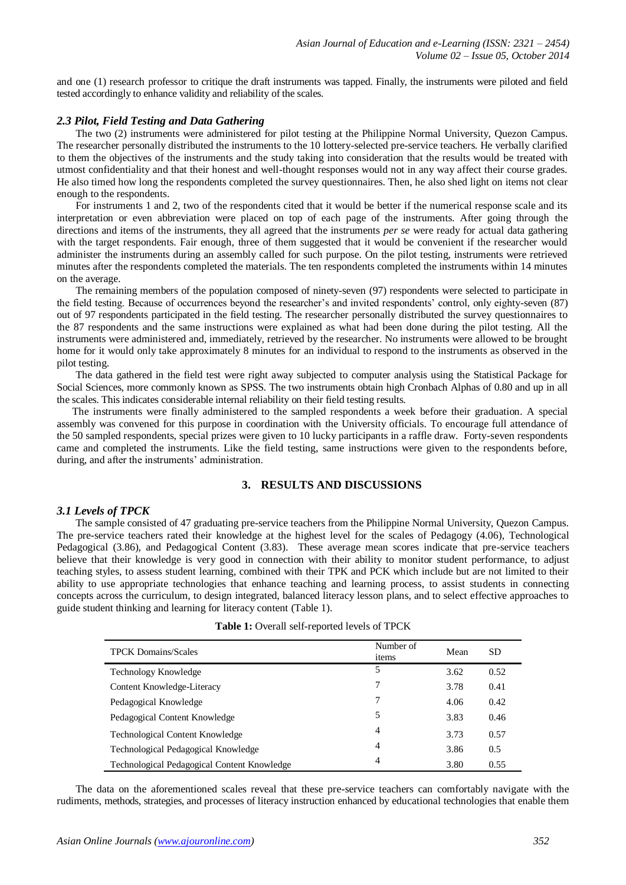and one (1) research professor to critique the draft instruments was tapped. Finally, the instruments were piloted and field tested accordingly to enhance validity and reliability of the scales.

#### *2.3 Pilot, Field Testing and Data Gathering*

The two (2) instruments were administered for pilot testing at the Philippine Normal University, Quezon Campus. The researcher personally distributed the instruments to the 10 lottery-selected pre-service teachers. He verbally clarified to them the objectives of the instruments and the study taking into consideration that the results would be treated with utmost confidentiality and that their honest and well-thought responses would not in any way affect their course grades. He also timed how long the respondents completed the survey questionnaires. Then, he also shed light on items not clear enough to the respondents.

For instruments 1 and 2, two of the respondents cited that it would be better if the numerical response scale and its interpretation or even abbreviation were placed on top of each page of the instruments. After going through the directions and items of the instruments, they all agreed that the instruments *per se* were ready for actual data gathering with the target respondents. Fair enough, three of them suggested that it would be convenient if the researcher would administer the instruments during an assembly called for such purpose. On the pilot testing, instruments were retrieved minutes after the respondents completed the materials. The ten respondents completed the instruments within 14 minutes on the average.

The remaining members of the population composed of ninety-seven (97) respondents were selected to participate in the field testing. Because of occurrences beyond the researcher's and invited respondents' control, only eighty-seven (87) out of 97 respondents participated in the field testing. The researcher personally distributed the survey questionnaires to the 87 respondents and the same instructions were explained as what had been done during the pilot testing. All the instruments were administered and, immediately, retrieved by the researcher. No instruments were allowed to be brought home for it would only take approximately 8 minutes for an individual to respond to the instruments as observed in the pilot testing.

The data gathered in the field test were right away subjected to computer analysis using the Statistical Package for Social Sciences, more commonly known as SPSS. The two instruments obtain high Cronbach Alphas of 0.80 and up in all the scales. This indicates considerable internal reliability on their field testing results.

 The instruments were finally administered to the sampled respondents a week before their graduation. A special assembly was convened for this purpose in coordination with the University officials. To encourage full attendance of the 50 sampled respondents, special prizes were given to 10 lucky participants in a raffle draw. Forty-seven respondents came and completed the instruments. Like the field testing, same instructions were given to the respondents before, during, and after the instruments' administration.

#### **3. RESULTS AND DISCUSSIONS**

#### *3.1 Levels of TPCK*

The sample consisted of 47 graduating pre-service teachers from the Philippine Normal University, Quezon Campus. The pre-service teachers rated their knowledge at the highest level for the scales of Pedagogy (4.06), Technological Pedagogical (3.86), and Pedagogical Content (3.83). These average mean scores indicate that pre-service teachers believe that their knowledge is very good in connection with their ability to monitor student performance, to adjust teaching styles, to assess student learning, combined with their TPK and PCK which include but are not limited to their ability to use appropriate technologies that enhance teaching and learning process, to assist students in connecting concepts across the curriculum, to design integrated, balanced literacy lesson plans, and to select effective approaches to guide student thinking and learning for literacy content (Table 1).

| <b>TPCK Domains/Scales</b>                  | Number of<br>items | Mean | <b>SD</b> |
|---------------------------------------------|--------------------|------|-----------|
| Technology Knowledge                        | 5                  | 3.62 | 0.52      |
| Content Knowledge-Literacy                  | 7                  | 3.78 | 0.41      |
| Pedagogical Knowledge                       | 7                  | 4.06 | 0.42      |
| Pedagogical Content Knowledge               | 5                  | 3.83 | 0.46      |
| <b>Technological Content Knowledge</b>      | 4                  | 3.73 | 0.57      |
| Technological Pedagogical Knowledge         | 4                  | 3.86 | 0.5       |
| Technological Pedagogical Content Knowledge | 4                  | 3.80 | 0.55      |

The data on the aforementioned scales reveal that these pre-service teachers can comfortably navigate with the rudiments, methods, strategies, and processes of literacy instruction enhanced by educational technologies that enable them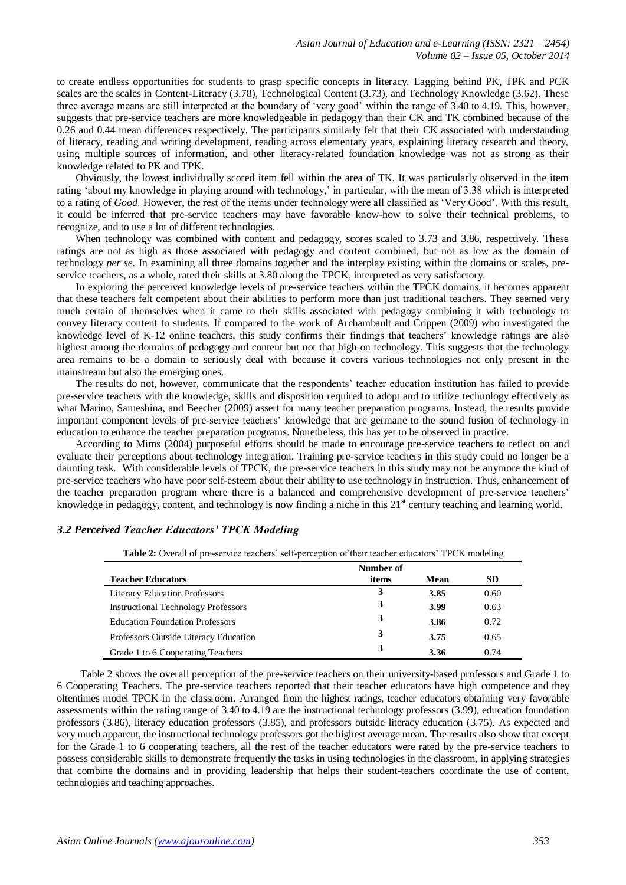to create endless opportunities for students to grasp specific concepts in literacy. Lagging behind PK, TPK and PCK scales are the scales in Content-Literacy (3.78), Technological Content (3.73), and Technology Knowledge (3.62). These three average means are still interpreted at the boundary of 'very good' within the range of 3.40 to 4.19. This, however, suggests that pre-service teachers are more knowledgeable in pedagogy than their CK and TK combined because of the 0.26 and 0.44 mean differences respectively. The participants similarly felt that their CK associated with understanding of literacy, reading and writing development, reading across elementary years, explaining literacy research and theory, using multiple sources of information, and other literacy-related foundation knowledge was not as strong as their knowledge related to PK and TPK.

Obviously, the lowest individually scored item fell within the area of TK. It was particularly observed in the item rating 'about my knowledge in playing around with technology,' in particular, with the mean of 3.38 which is interpreted to a rating of *Good*. However, the rest of the items under technology were all classified as 'Very Good'. With this result, it could be inferred that pre-service teachers may have favorable know-how to solve their technical problems, to recognize, and to use a lot of different technologies.

When technology was combined with content and pedagogy, scores scaled to 3.73 and 3.86, respectively. These ratings are not as high as those associated with pedagogy and content combined, but not as low as the domain of technology *per se.* In examining all three domains together and the interplay existing within the domains or scales, preservice teachers, as a whole, rated their skills at 3.80 along the TPCK, interpreted as very satisfactory.

In exploring the perceived knowledge levels of pre-service teachers within the TPCK domains, it becomes apparent that these teachers felt competent about their abilities to perform more than just traditional teachers. They seemed very much certain of themselves when it came to their skills associated with pedagogy combining it with technology to convey literacy content to students. If compared to the work of Archambault and Crippen (2009) who investigated the knowledge level of K-12 online teachers, this study confirms their findings that teachers' knowledge ratings are also highest among the domains of pedagogy and content but not that high on technology. This suggests that the technology area remains to be a domain to seriously deal with because it covers various technologies not only present in the mainstream but also the emerging ones.

The results do not, however, communicate that the respondents' teacher education institution has failed to provide pre-service teachers with the knowledge, skills and disposition required to adopt and to utilize technology effectively as what Marino, Sameshina, and Beecher (2009) assert for many teacher preparation programs. Instead, the results provide important component levels of pre-service teachers' knowledge that are germane to the sound fusion of technology in education to enhance the teacher preparation programs. Nonetheless, this has yet to be observed in practice.

According to Mims (2004) purposeful efforts should be made to encourage pre-service teachers to reflect on and evaluate their perceptions about technology integration. Training pre-service teachers in this study could no longer be a daunting task. With considerable levels of TPCK, the pre-service teachers in this study may not be anymore the kind of pre-service teachers who have poor self-esteem about their ability to use technology in instruction. Thus, enhancement of the teacher preparation program where there is a balanced and comprehensive development of pre-service teachers' knowledge in pedagogy, content, and technology is now finding a niche in this  $21<sup>st</sup>$  century teaching and learning world.

#### *3.2 Perceived Teacher Educators' TPCK Modeling*

**Table 2:** Overall of pre-service teachers' self-perception of their teacher educators' TPCK modeling

|                                            | Number of |      |           |
|--------------------------------------------|-----------|------|-----------|
| <b>Teacher Educators</b>                   | items     | Mean | <b>SD</b> |
| <b>Literacy Education Professors</b>       | 3         | 3.85 | 0.60      |
| <b>Instructional Technology Professors</b> | 3         | 3.99 | 0.63      |
| <b>Education Foundation Professors</b>     | 3         | 3.86 | 0.72      |
| Professors Outside Literacy Education      | 3         | 3.75 | 0.65      |
| Grade 1 to 6 Cooperating Teachers          | 3         | 3.36 | 0.74      |

Table 2 shows the overall perception of the pre-service teachers on their university-based professors and Grade 1 to 6 Cooperating Teachers. The pre-service teachers reported that their teacher educators have high competence and they oftentimes model TPCK in the classroom. Arranged from the highest ratings, teacher educators obtaining very favorable assessments within the rating range of 3.40 to 4.19 are the instructional technology professors (3.99), education foundation professors (3.86), literacy education professors (3.85), and professors outside literacy education (3.75). As expected and very much apparent, the instructional technology professors got the highest average mean. The results also show that except for the Grade 1 to 6 cooperating teachers, all the rest of the teacher educators were rated by the pre-service teachers to possess considerable skills to demonstrate frequently the tasks in using technologies in the classroom, in applying strategies that combine the domains and in providing leadership that helps their student-teachers coordinate the use of content, technologies and teaching approaches.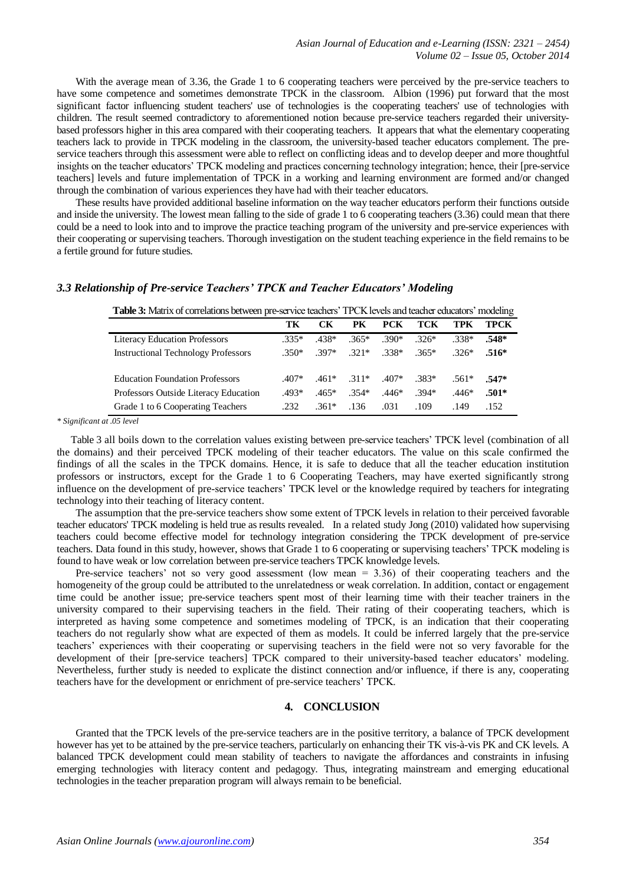With the average mean of 3.36, the Grade 1 to 6 cooperating teachers were perceived by the pre-service teachers to have some competence and sometimes demonstrate TPCK in the classroom. Albion (1996) put forward that the most significant factor influencing student teachers' use of technologies is the cooperating teachers' use of technologies with children. The result seemed contradictory to aforementioned notion because pre-service teachers regarded their universitybased professors higher in this area compared with their cooperating teachers. It appears that what the elementary cooperating teachers lack to provide in TPCK modeling in the classroom, the university-based teacher educators complement. The preservice teachers through this assessment were able to reflect on conflicting ideas and to develop deeper and more thoughtful insights on the teacher educators' TPCK modeling and practices concerning technology integration; hence, their [pre-service teachers] levels and future implementation of TPCK in a working and learning environment are formed and/or changed through the combination of various experiences they have had with their teacher educators.

These results have provided additional baseline information on the way teacher educators perform their functions outside and inside the university. The lowest mean falling to the side of grade 1 to 6 cooperating teachers (3.36) could mean that there could be a need to look into and to improve the practice teaching program of the university and pre-service experiences with their cooperating or supervising teachers. Thorough investigation on the student teaching experience in the field remains to be a fertile ground for future studies.

# **Table 3:** Matrix of correlations between pre-service teachers' TPCK levels and teacher educators' modeling **TK CK PK PCK TCK TPK TPCK** Literacy Education Professors .335\* .438\* .365\* .390\* .326\* .338\* **.548\*** Instructional Technology Professors .350\* .397\* .321\* .338\* .365\* .326\* **.516\*** Education Foundation Professors .407\* .461\* .311\* .407\* .383\* .561\* **.547\*** Professors Outside Literacy Education .493\* .465\* .354\* .446\* .394\* .446\* **.501\*** Grade 1 to 6 Cooperating Teachers .232 .361\* .136 .031 .109 .149 .152

#### *3.3 Relationship of Pre-service Teachers' TPCK and Teacher Educators' Modeling*

*\* Significant at .05 level*

Table 3 all boils down to the correlation values existing between pre-service teachers' TPCK level (combination of all the domains) and their perceived TPCK modeling of their teacher educators. The value on this scale confirmed the findings of all the scales in the TPCK domains. Hence, it is safe to deduce that all the teacher education institution professors or instructors, except for the Grade 1 to 6 Cooperating Teachers, may have exerted significantly strong influence on the development of pre-service teachers' TPCK level or the knowledge required by teachers for integrating technology into their teaching of literacy content.

The assumption that the pre-service teachers show some extent of TPCK levels in relation to their perceived favorable teacher educators' TPCK modeling is held true as results revealed. In a related study Jong (2010) validated how supervising teachers could become effective model for technology integration considering the TPCK development of pre-service teachers. Data found in this study, however, shows that Grade 1 to 6 cooperating or supervising teachers' TPCK modeling is found to have weak or low correlation between pre-service teachers TPCK knowledge levels.

Pre-service teachers' not so very good assessment (low mean = 3.36) of their cooperating teachers and the homogeneity of the group could be attributed to the unrelatedness or weak correlation. In addition, contact or engagement time could be another issue; pre-service teachers spent most of their learning time with their teacher trainers in the university compared to their supervising teachers in the field. Their rating of their cooperating teachers, which is interpreted as having some competence and sometimes modeling of TPCK, is an indication that their cooperating teachers do not regularly show what are expected of them as models. It could be inferred largely that the pre-service teachers' experiences with their cooperating or supervising teachers in the field were not so very favorable for the development of their [pre-service teachers] TPCK compared to their university-based teacher educators' modeling. Nevertheless, further study is needed to explicate the distinct connection and/or influence, if there is any, cooperating teachers have for the development or enrichment of pre-service teachers' TPCK.

## **4. CONCLUSION**

Granted that the TPCK levels of the pre-service teachers are in the positive territory, a balance of TPCK development however has yet to be attained by the pre-service teachers, particularly on enhancing their TK vis-à-vis PK and CK levels. A balanced TPCK development could mean stability of teachers to navigate the affordances and constraints in infusing emerging technologies with literacy content and pedagogy. Thus, integrating mainstream and emerging educational technologies in the teacher preparation program will always remain to be beneficial.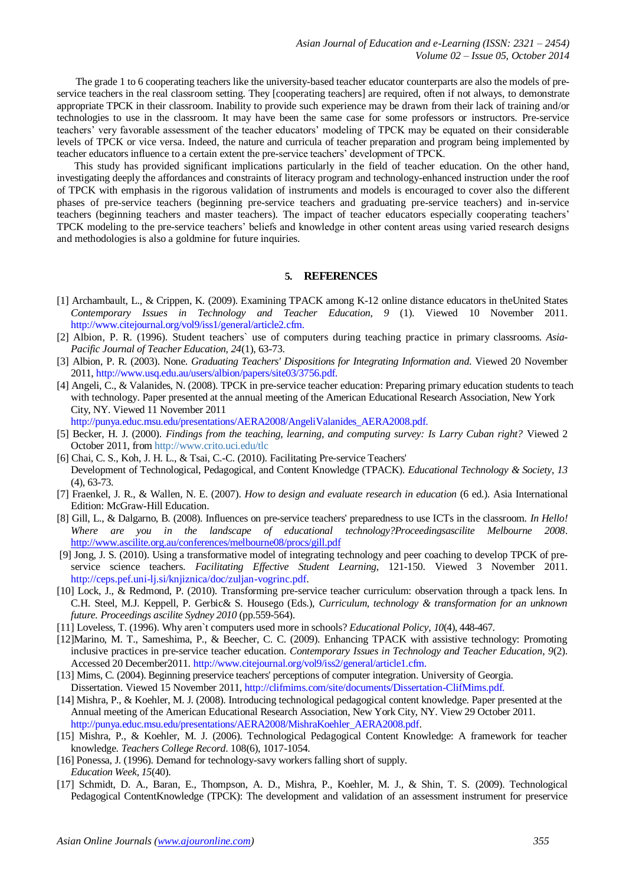The grade 1 to 6 cooperating teachers like the university-based teacher educator counterparts are also the models of preservice teachers in the real classroom setting. They [cooperating teachers] are required, often if not always, to demonstrate appropriate TPCK in their classroom. Inability to provide such experience may be drawn from their lack of training and/or technologies to use in the classroom. It may have been the same case for some professors or instructors. Pre-service teachers' very favorable assessment of the teacher educators' modeling of TPCK may be equated on their considerable levels of TPCK or vice versa. Indeed, the nature and curricula of teacher preparation and program being implemented by teacher educators influence to a certain extent the pre-service teachers' development of TPCK.

This study has provided significant implications particularly in the field of teacher education. On the other hand, investigating deeply the affordances and constraints of literacy program and technology-enhanced instruction under the roof of TPCK with emphasis in the rigorous validation of instruments and models is encouraged to cover also the different phases of pre-service teachers (beginning pre-service teachers and graduating pre-service teachers) and in-service teachers (beginning teachers and master teachers). The impact of teacher educators especially cooperating teachers' TPCK modeling to the pre-service teachers' beliefs and knowledge in other content areas using varied research designs and methodologies is also a goldmine for future inquiries.

### **5. REFERENCES**

- [1] Archambault, L., & Crippen, K. (2009). Examining TPACK among K-12 online distance educators in theUnited States *Contemporary Issues in Technology and Teacher Education*, *9* (1). Viewed 10 November 2011. [http://www.citejournal.org/vol9/iss1/general/article2.cfm.](http://www.citejournal.org/vol9/iss1/general/article2.cfm.%20Accessed%2010%20November%202011.)
- [2] Albion, P. R. (1996). Student teachers` use of computers during teaching practice in primary classrooms. *Asia-Pacific Journal of Teacher Education, 24*(1), 63-73.
- [3] Albion, P. R. (2003). None. *Graduating Teachers' Dispositions for Integrating Information and*. Viewed 20 November 2011[, http://www.usq.edu.au/users/albion/papers/site03/3756.pdf.](http://www.usq.edu.au/users/albion/papers/site03/3756.pdf.)
- [4] Angeli, C., & Valanides, N. (2008). TPCK in pre-service teacher education: Preparing primary education students to teach with technology. Paper presented at the annual meeting of the American Educational Research Association, New York City, NY. Viewed 11 November 2011 http://punya.educ.msu.edu/presentations/AERA2008/AngeliValanides\_AERA2008.pdf.
	-
- [5] Becker, H. J. (2000). *Findings from the teaching, learning, and computing survey: Is Larry Cuban right?* Viewed 2 October 2011, from <http://www.crito.uci.edu/tlc>
- [6] Chai, C. S., Koh, J. H. L., & Tsai, C.-C. (2010). Facilitating Pre-service Teachers' Development of Technological, Pedagogical, and Content Knowledge (TPACK). *Educational Technology & Society*, *13* (4), 63-73.
- [7] Fraenkel, J. R., & Wallen, N. E. (2007). *How to design and evaluate research in education* (6 ed.). Asia International Edition: McGraw-Hill Education.
- [8] Gill, L., & Dalgarno, B. (2008). Influences on pre-service teachers' preparedness to use ICTs in the classroom. *In Hello! Where are you in the landscape of educational technology?Proceedingsascilite Melbourne 2008*. <http://www.ascilite.org.au/conferences/melbourne08/procs/gill.pdf>
- [9] Jong, J. S. (2010). Using a transformative model of integrating technology and peer coaching to develop TPCK of preservice science teachers. *Facilitating Effective Student Learning*, 121-150. Viewed 3 November 2011. [http://ceps.pef.uni-lj.si/knjiznica/doc/zuljan-vogrinc.pdf.](http://ceps.pef.uni-lj.si/knjiznica/doc/zuljan-vogrinc.pdf)
- [10] Lock, J., & Redmond, P. (2010). Transforming pre-service teacher curriculum: observation through a tpack lens. In C.H. Steel, M.J. Keppell, P. Gerbic& S. Housego (Eds.), *Curriculum, technology & transformation for an unknown future. Proceedings ascilite Sydney 2010* (pp.559-564).
- [11] Loveless, T. (1996). Why aren`t computers used more in schools? *Educational Policy, 10*(4), 448-467.
- [12]Marino, M. T., Sameshima, P., & Beecher, C. C. (2009). Enhancing TPACK with assistive technology: Promoting inclusive practices in pre-service teacher education. *Contemporary Issues in Technology and Teacher Education*, *9*(2). Accessed 20 December2011. <http://www.citejournal.org/vol9/iss2/general/article1.cfm.>
- [13] Mims, C. (2004). Beginning preservice teachers' perceptions of computer integration. University of Georgia. Dissertation. Viewed 15 November 2011[, http://clifmims.com/site/documents/Dissertation-ClifMims.pdf.](http://clifmims.com/site/documents/Dissertation-ClifMims.pdf.)
- [14] Mishra, P., & Koehler, M. J. (2008). Introducing technological pedagogical content knowledge. Paper presented at the Annual meeting of the American Educational Research Association, New York City, NY. View 29 October 2011. [http://punya.educ.msu.edu/presentations/AERA2008/MishraKoehler\\_AERA2008.pdf.](http://punya.educ.msu.edu/presentations/AERA2008/MishraKoehler_AERA2008.pdf)
- [15] Mishra, P., & Koehler, M. J. (2006). Technological Pedagogical Content Knowledge: A framework for teacher knowledge. *Teachers College Record*. 108(6), 1017-1054.
- [16] Ponessa, J. (1996). Demand for technology-savy workers falling short of supply. *Education Week, 15*(40).
- [17] Schmidt, D. A., Baran, E., Thompson, A. D., Mishra, P., Koehler, M. J., & Shin, T. S. (2009). Technological Pedagogical ContentKnowledge (TPCK): The development and validation of an assessment instrument for preservice